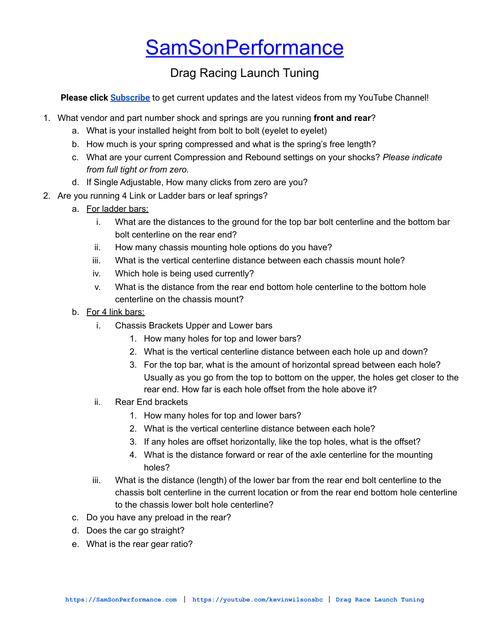## **[SamSonPerformance](https://samsonperformance.com)**

## Drag Racing Launch Tuning

**Please click [Subscribe](https://www.youtube.com/KevinWilsonSBC?sub_confirmation=1)** to get current updates and the latest videos from my YouTube Channel!

- 1. What vendor and part number shock and springs are you running **front and rear**?
	- a. What is your installed height from bolt to bolt (eyelet to eyelet)
	- b. How much is your spring compressed and what is the spring's free length?
	- c. What are your current Compression and Rebound settings on your shocks? *Please indicate from full tight or from zero.*
	- d. If Single Adjustable, How many clicks from zero are you?
- 2. Are you running 4 Link or Ladder bars or leaf springs?
	- a. For ladder bars:
		- i. What are the distances to the ground for the top bar bolt centerline and the bottom bar bolt centerline on the rear end?
		- ii. How many chassis mounting hole options do you have?
		- iii. What is the vertical centerline distance between each chassis mount hole?
		- iv. Which hole is being used currently?
		- v. What is the distance from the rear end bottom hole centerline to the bottom hole centerline on the chassis mount?
	- b. For 4 link bars:
		- i. Chassis Brackets Upper and Lower bars
			- 1. How many holes for top and lower bars?
			- 2. What is the vertical centerline distance between each hole up and down?
			- 3. For the top bar, what is the amount of horizontal spread between each hole? Usually as you go from the top to bottom on the upper, the holes get closer to the rear end. How far is each hole offset from the hole above it?
		- ii. Rear End brackets
			- 1. How many holes for top and lower bars?
			- 2. What is the vertical centerline distance between each hole?
			- 3. If any holes are offset horizontally, like the top holes, what is the offset?
			- 4. What is the distance forward or rear of the axle centerline for the mounting holes?
		- iii. What is the distance (length) of the lower bar from the rear end bolt centerline to the chassis bolt centerline in the current location or from the rear end bottom hole centerline to the chassis lower bolt hole centerline?
	- c. Do you have any preload in the rear?
	- d. Does the car go straight?
	- e. What is the rear gear ratio?